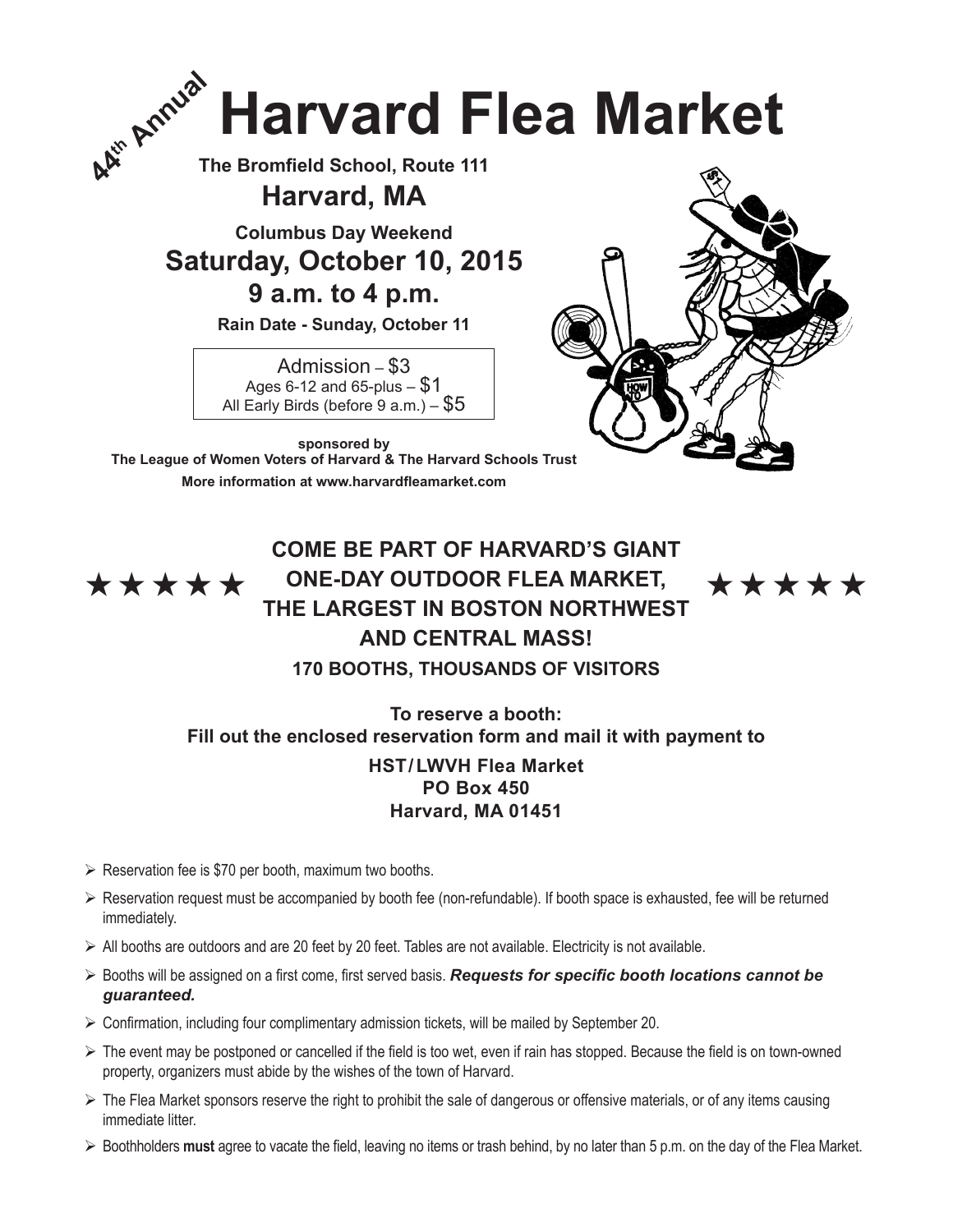

**The Bromfield School, Route 111**

**Harvard, MA**

**Columbus Day Weekend**

**Saturday, October 10, 2015**

**9 a.m. to 4 p.m.**

**Rain Date - Sunday, October 11**

Admission – \$3 Ages 6-12 and 65-plus  $-$  \$1 All Early Birds (before  $9$  a.m.)  $-$  \$5



**sponsored by The League of Women Voters of Harvard & The Harvard Schools Trust More information at www.harvardfleamarket.com**

## **COME BE PART OF HARVARD'S GIANT**   $\star \star \star \star \star$  ONE-DAY OUTDOOR FLEA MARKET,  $\star \star \star \star \star \star$ **THE LARGEST IN BOSTON NORTHWEST AND CENTRAL MASS! 170 BOOTHS, THOUSANDS OF VISITORS**

**To reserve a booth: Fill out the enclosed reservation form and mail it with payment to**

## **HST/ LWVH Flea Market PO Box 450 Harvard, MA 01451**

- $\triangleright$  Reservation fee is \$70 per booth, maximum two booths.
- $\triangleright$  Reservation request must be accompanied by booth fee (non-refundable). If booth space is exhausted, fee will be returned immediately.
- $\triangleright$  All booths are outdoors and are 20 feet by 20 feet. Tables are not available. Electricity is not available.
- Booths will be assigned on a first come, first served basis. *Requests for specific booth locations cannot be guaranteed.*
- $\triangleright$  Confirmation, including four complimentary admission tickets, will be mailed by September 20.
- The event may be postponed or cancelled if the field is too wet, even if rain has stopped. Because the field is on town-owned property, organizers must abide by the wishes of the town of Harvard.
- $\triangleright$  The Flea Market sponsors reserve the right to prohibit the sale of dangerous or offensive materials, or of any items causing immediate litter.
- Boothholders **must** agree to vacate the field, leaving no items or trash behind, by no later than 5 p.m. on the day of the Flea Market.